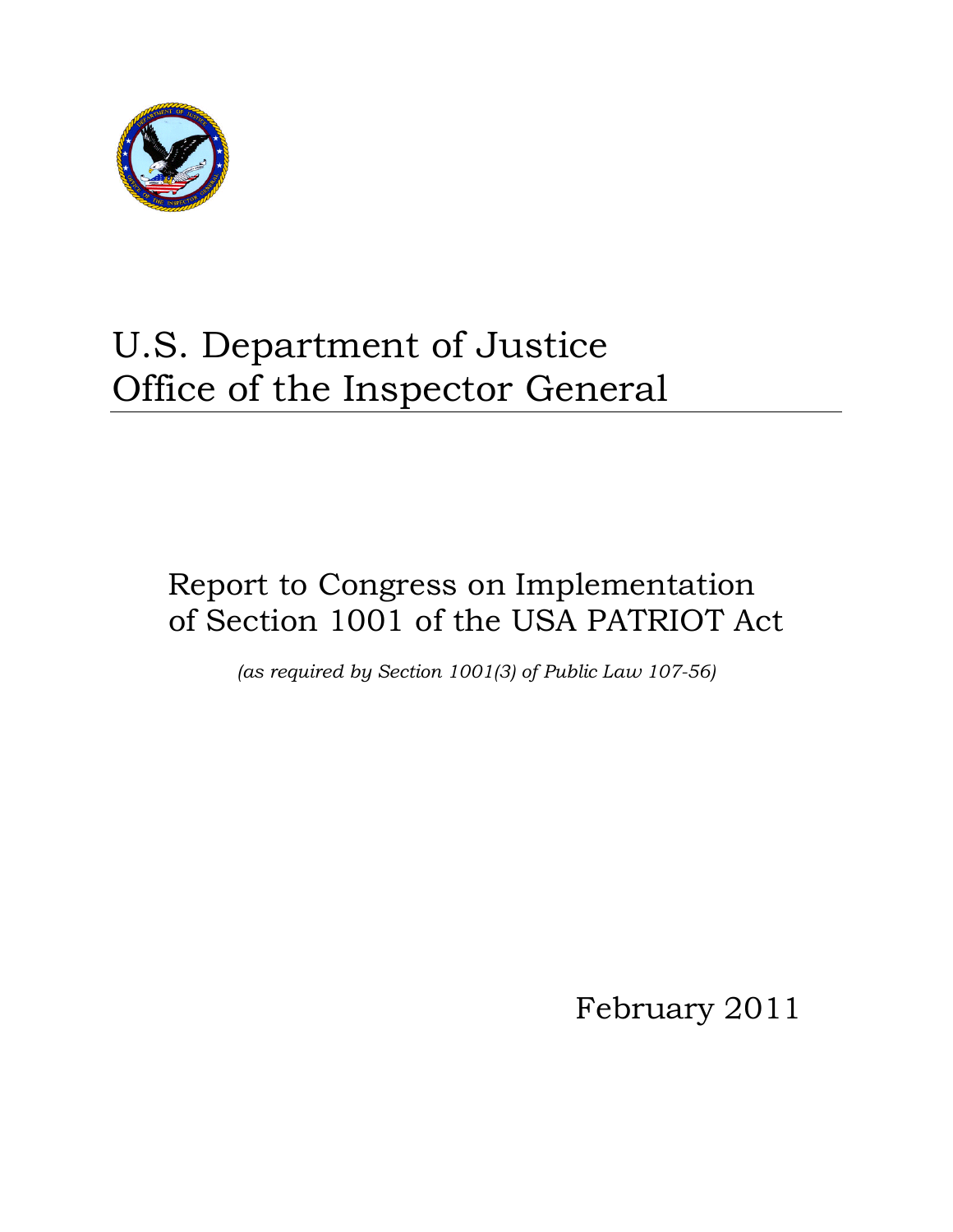

# U.S. Department of Justice Office of the Inspector General

# Report to Congress on Implementation of Section 1001 of the USA PATRIOT Act

*(as required by Section 1001(3) of Public Law 107-56)* 

February 2011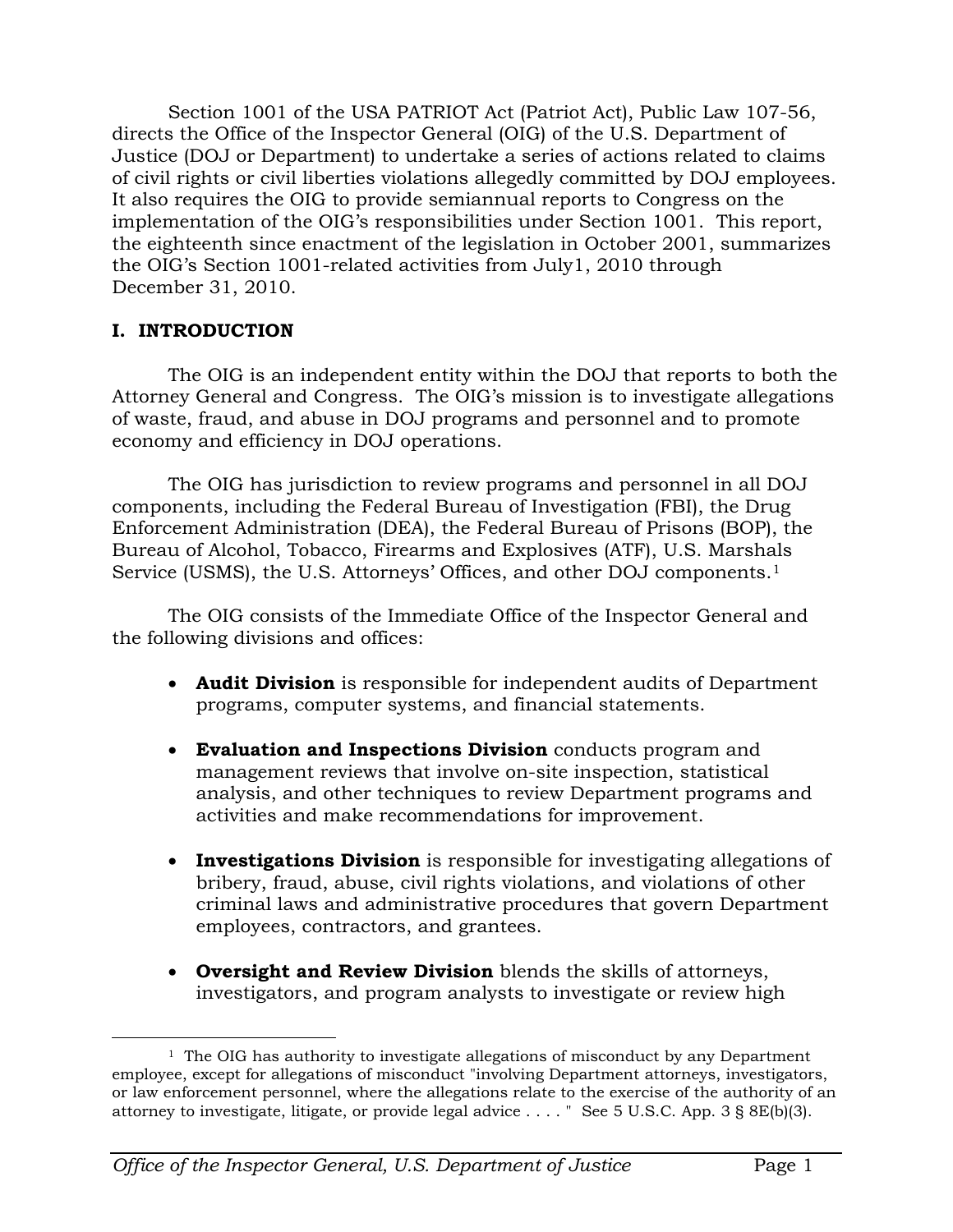Section 1001 of the USA PATRIOT Act (Patriot Act), Public Law 107-56, directs the Office of the Inspector General (OIG) of the U.S. Department of Justice (DOJ or Department) to undertake a series of actions related to claims of civil rights or civil liberties violations allegedly committed by DOJ employees. It also requires the OIG to provide semiannual reports to Congress on the implementation of the OIG's responsibilities under Section 1001. This report, the eighteenth since enactment of the legislation in October 2001, summarizes the OIG's Section 1001-related activities from July1, 2010 through December 31, 2010.

### **I. INTRODUCTION**

The OIG is an independent entity within the DOJ that reports to both the Attorney General and Congress. The OIG's mission is to investigate allegations of waste, fraud, and abuse in DOJ programs and personnel and to promote economy and efficiency in DOJ operations.

The OIG has jurisdiction to review programs and personnel in all DOJ components, including the Federal Bureau of Investigation (FBI), the Drug Enforcement Administration (DEA), the Federal Bureau of Prisons (BOP), the Bureau of Alcohol, Tobacco, Firearms and Explosives (ATF), U.S. Marshals Service (USMS), the U.S. Attorneys' Offices, and other DOJ components.<sup>[1](#page-1-0)</sup>

The OIG consists of the Immediate Office of the Inspector General and the following divisions and offices:

- **Audit Division** is responsible for independent audits of Department programs, computer systems, and financial statements.
- **Evaluation and Inspections Division** conducts program and management reviews that involve on-site inspection, statistical analysis, and other techniques to review Department programs and activities and make recommendations for improvement.
- **Investigations Division** is responsible for investigating allegations of bribery, fraud, abuse, civil rights violations, and violations of other criminal laws and administrative procedures that govern Department employees, contractors, and grantees.
- **Oversight and Review Division** blends the skills of attorneys, investigators, and program analysts to investigate or review high

<span id="page-1-0"></span> $\overline{a}$  $1$  The OIG has authority to investigate allegations of misconduct by any Department employee, except for allegations of misconduct "involving Department attorneys, investigators, or law enforcement personnel, where the allegations relate to the exercise of the authority of an attorney to investigate, litigate, or provide legal advice . . . . " See 5 U.S.C. App. 3 § 8E(b)(3).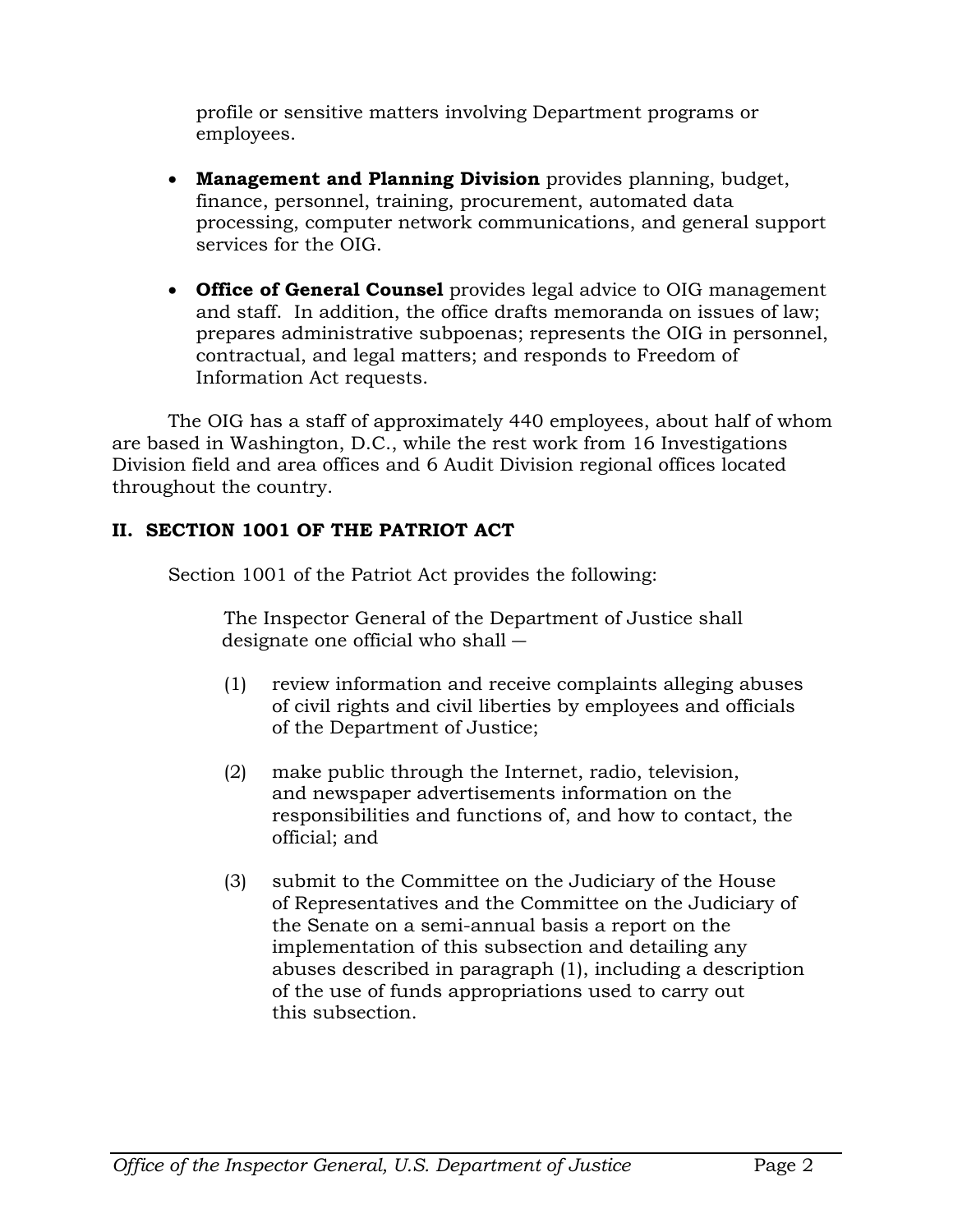profile or sensitive matters involving Department programs or employees.

- **Management and Planning Division** provides planning, budget, finance, personnel, training, procurement, automated data processing, computer network communications, and general support services for the OIG.
- **Office of General Counsel** provides legal advice to OIG management and staff. In addition, the office drafts memoranda on issues of law; prepares administrative subpoenas; represents the OIG in personnel, contractual, and legal matters; and responds to Freedom of Information Act requests.

The OIG has a staff of approximately 440 employees, about half of whom are based in Washington, D.C., while the rest work from 16 Investigations Division field and area offices and 6 Audit Division regional offices located throughout the country.

# **II. SECTION 1001 OF THE PATRIOT ACT**

Section 1001 of the Patriot Act provides the following:

The Inspector General of the Department of Justice shall designate one official who shall ―

- (1) review information and receive complaints alleging abuses of civil rights and civil liberties by employees and officials of the Department of Justice;
- (2) make public through the Internet, radio, television, and newspaper advertisements information on the responsibilities and functions of, and how to contact, the official; and
- (3) submit to the Committee on the Judiciary of the House of Representatives and the Committee on the Judiciary of the Senate on a semi-annual basis a report on the implementation of this subsection and detailing any abuses described in paragraph (1), including a description of the use of funds appropriations used to carry out this subsection.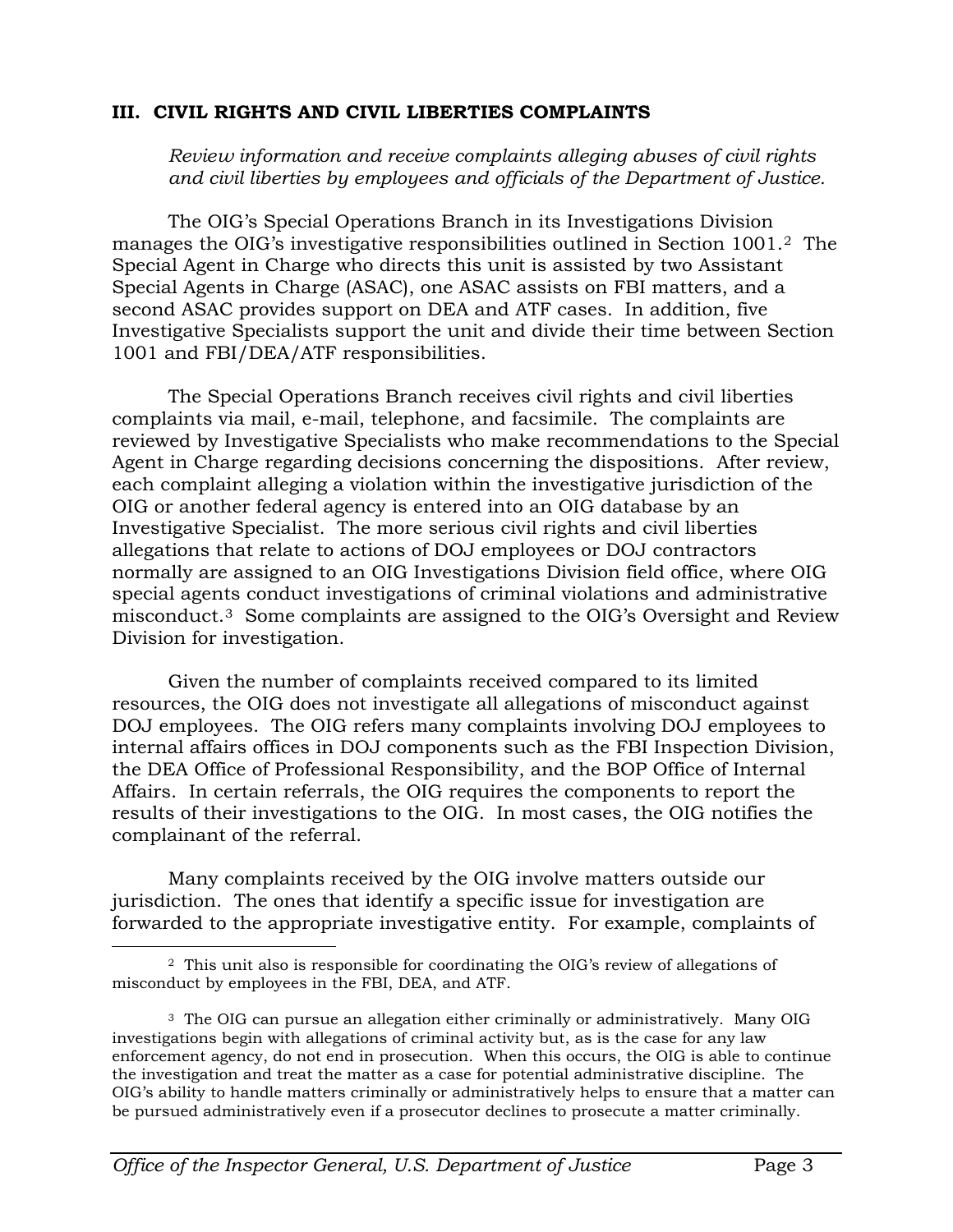#### **III. CIVIL RIGHTS AND CIVIL LIBERTIES COMPLAINTS**

*Review information and receive complaints alleging abuses of civil rights and civil liberties by employees and officials of the Department of Justice.*

The OIG's Special Operations Branch in its Investigations Division manages the OIG's investigative responsibilities outlined in Section 1001.[2](#page-3-0) The Special Agent in Charge who directs this unit is assisted by two Assistant Special Agents in Charge (ASAC), one ASAC assists on FBI matters, and a second ASAC provides support on DEA and ATF cases. In addition, five Investigative Specialists support the unit and divide their time between Section 1001 and FBI/DEA/ATF responsibilities.

The Special Operations Branch receives civil rights and civil liberties complaints via mail, e-mail, telephone, and facsimile. The complaints are reviewed by Investigative Specialists who make recommendations to the Special Agent in Charge regarding decisions concerning the dispositions. After review, each complaint alleging a violation within the investigative jurisdiction of the OIG or another federal agency is entered into an OIG database by an Investigative Specialist. The more serious civil rights and civil liberties allegations that relate to actions of DOJ employees or DOJ contractors normally are assigned to an OIG Investigations Division field office, where OIG special agents conduct investigations of criminal violations and administrative misconduct.[3](#page-3-1) Some complaints are assigned to the OIG's Oversight and Review Division for investigation.

Given the number of complaints received compared to its limited resources, the OIG does not investigate all allegations of misconduct against DOJ employees. The OIG refers many complaints involving DOJ employees to internal affairs offices in DOJ components such as the FBI Inspection Division, the DEA Office of Professional Responsibility, and the BOP Office of Internal Affairs. In certain referrals, the OIG requires the components to report the results of their investigations to the OIG. In most cases, the OIG notifies the complainant of the referral.

Many complaints received by the OIG involve matters outside our jurisdiction. The ones that identify a specific issue for investigation are forwarded to the appropriate investigative entity. For example, complaints of

<span id="page-3-0"></span> $\overline{a}$ 2 This unit also is responsible for coordinating the OIG's review of allegations of misconduct by employees in the FBI, DEA, and ATF.

<span id="page-3-1"></span><sup>3</sup> The OIG can pursue an allegation either criminally or administratively. Many OIG investigations begin with allegations of criminal activity but, as is the case for any law enforcement agency, do not end in prosecution. When this occurs, the OIG is able to continue the investigation and treat the matter as a case for potential administrative discipline. The OIG's ability to handle matters criminally or administratively helps to ensure that a matter can be pursued administratively even if a prosecutor declines to prosecute a matter criminally.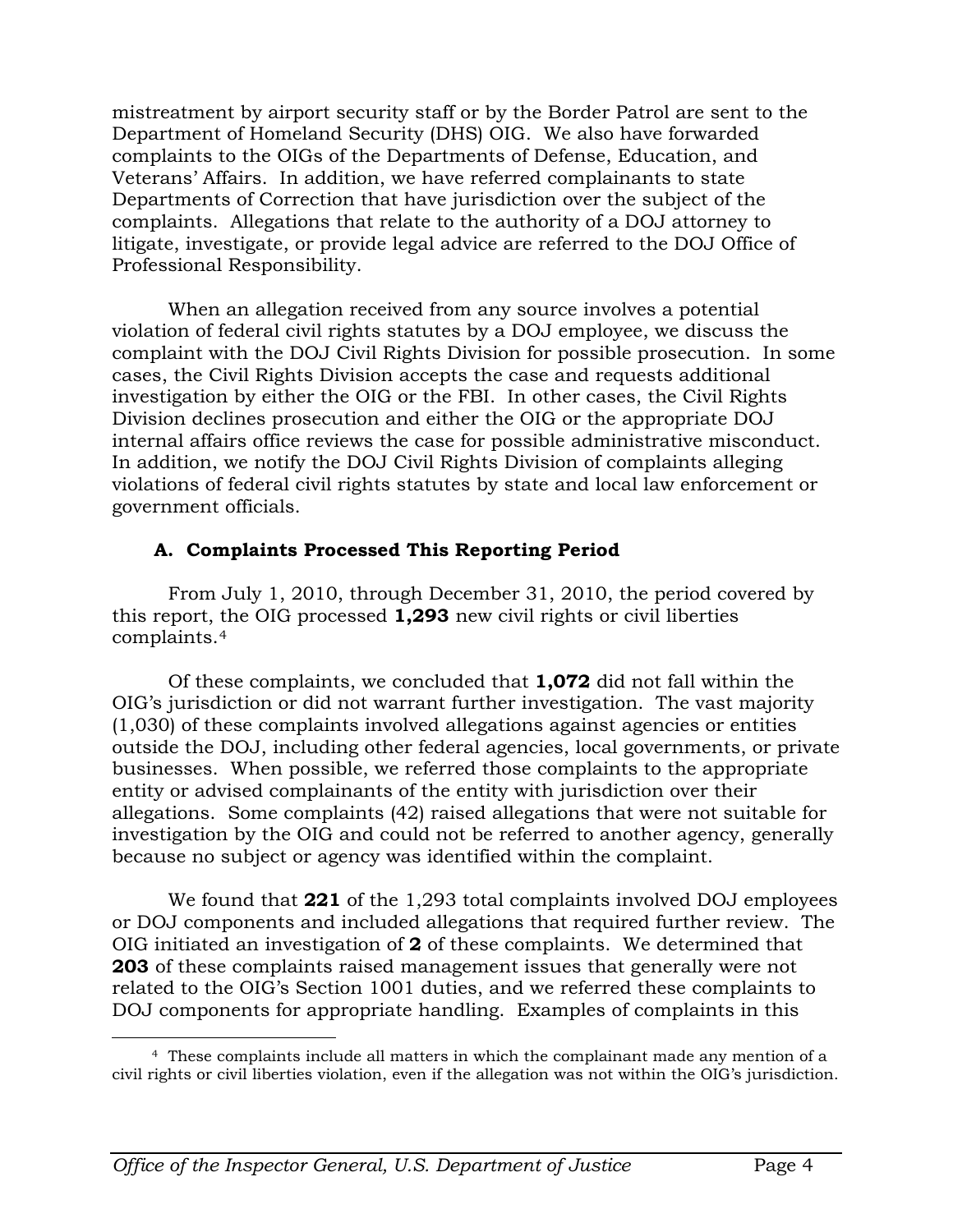mistreatment by airport security staff or by the Border Patrol are sent to the Department of Homeland Security (DHS) OIG. We also have forwarded complaints to the OIGs of the Departments of Defense, Education, and Veterans' Affairs. In addition, we have referred complainants to state Departments of Correction that have jurisdiction over the subject of the complaints. Allegations that relate to the authority of a DOJ attorney to litigate, investigate, or provide legal advice are referred to the DOJ Office of Professional Responsibility.

When an allegation received from any source involves a potential violation of federal civil rights statutes by a DOJ employee, we discuss the complaint with the DOJ Civil Rights Division for possible prosecution. In some cases, the Civil Rights Division accepts the case and requests additional investigation by either the OIG or the FBI. In other cases, the Civil Rights Division declines prosecution and either the OIG or the appropriate DOJ internal affairs office reviews the case for possible administrative misconduct. In addition, we notify the DOJ Civil Rights Division of complaints alleging violations of federal civil rights statutes by state and local law enforcement or government officials.

#### **A. Complaints Processed This Reporting Period**

From July 1, 2010, through December 31, 2010, the period covered by this report, the OIG processed **1,293** new civil rights or civil liberties complaints.[4](#page-4-0) 

Of these complaints, we concluded that **1,072** did not fall within the OIG's jurisdiction or did not warrant further investigation. The vast majority (1,030) of these complaints involved allegations against agencies or entities outside the DOJ, including other federal agencies, local governments, or private businesses. When possible, we referred those complaints to the appropriate entity or advised complainants of the entity with jurisdiction over their allegations. Some complaints (42) raised allegations that were not suitable for investigation by the OIG and could not be referred to another agency, generally because no subject or agency was identified within the complaint.

We found that **221** of the 1,293 total complaints involved DOJ employees or DOJ components and included allegations that required further review. The OIG initiated an investigation of **2** of these complaints. We determined that **203** of these complaints raised management issues that generally were not related to the OIG's Section 1001 duties, and we referred these complaints to DOJ components for appropriate handling. Examples of complaints in this

<span id="page-4-0"></span> $\overline{a}$  4 These complaints include all matters in which the complainant made any mention of a civil rights or civil liberties violation, even if the allegation was not within the OIG's jurisdiction.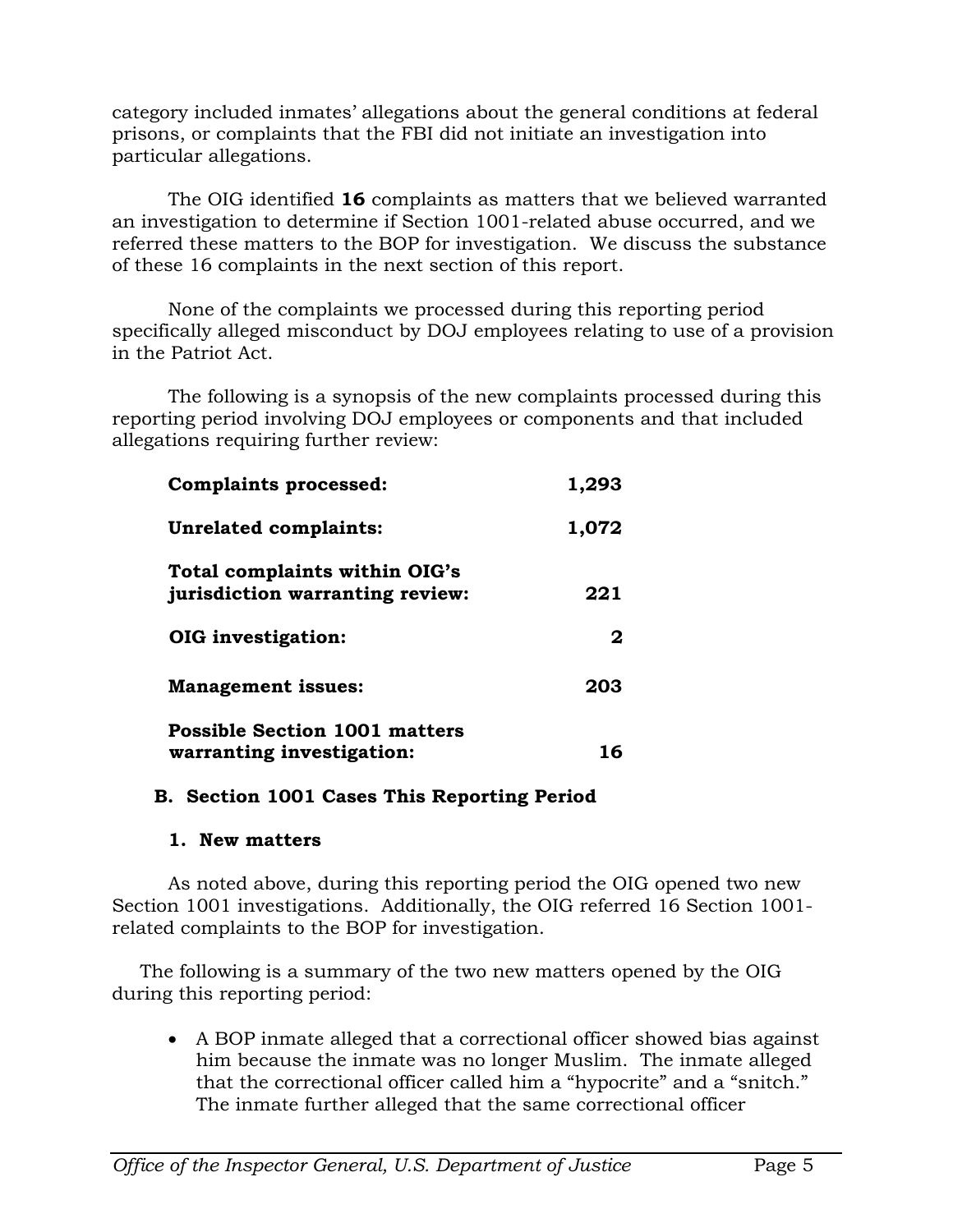category included inmates' allegations about the general conditions at federal prisons, or complaints that the FBI did not initiate an investigation into particular allegations.

The OIG identified **16** complaints as matters that we believed warranted an investigation to determine if Section 1001-related abuse occurred, and we referred these matters to the BOP for investigation. We discuss the substance of these 16 complaints in the next section of this report.

None of the complaints we processed during this reporting period specifically alleged misconduct by DOJ employees relating to use of a provision in the Patriot Act.

The following is a synopsis of the new complaints processed during this reporting period involving DOJ employees or components and that included allegations requiring further review:

| <b>Complaints processed:</b>                                     | 1,293 |
|------------------------------------------------------------------|-------|
| Unrelated complaints:                                            | 1,072 |
| Total complaints within OIG's<br>jurisdiction warranting review: | 221   |
| OIG investigation:                                               | 2     |
| <b>Management issues:</b>                                        | 203   |
| <b>Possible Section 1001 matters</b>                             |       |
| warranting investigation:                                        | 16    |

#### **B. Section 1001 Cases This Reporting Period**

#### **1. New matters**

As noted above, during this reporting period the OIG opened two new Section 1001 investigations. Additionally, the OIG referred 16 Section 1001 related complaints to the BOP for investigation.

The following is a summary of the two new matters opened by the OIG during this reporting period:

• A BOP inmate alleged that a correctional officer showed bias against him because the inmate was no longer Muslim. The inmate alleged that the correctional officer called him a "hypocrite" and a "snitch." The inmate further alleged that the same correctional officer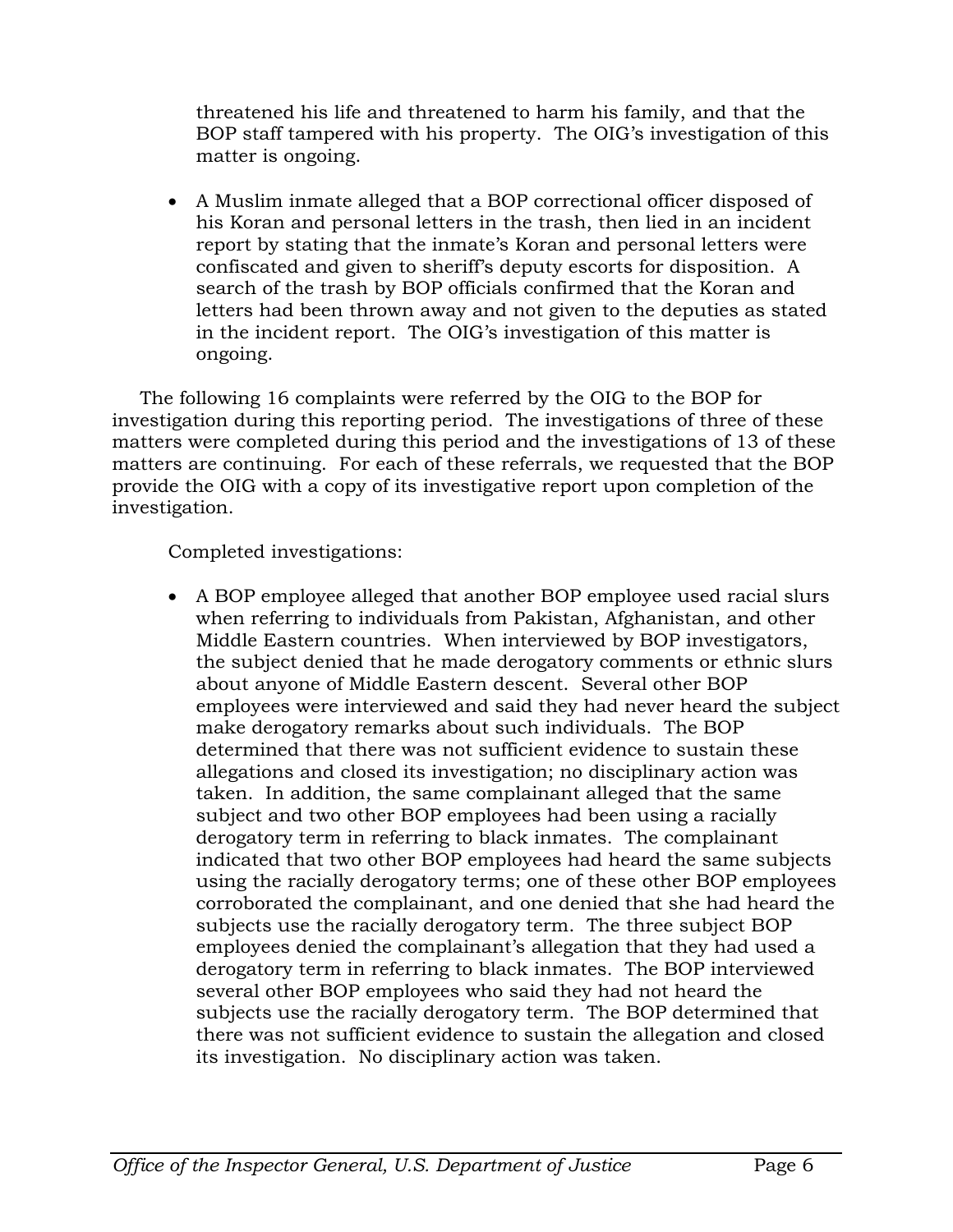threatened his life and threatened to harm his family, and that the BOP staff tampered with his property. The OIG's investigation of this matter is ongoing.

• A Muslim inmate alleged that a BOP correctional officer disposed of his Koran and personal letters in the trash, then lied in an incident report by stating that the inmate's Koran and personal letters were confiscated and given to sheriff's deputy escorts for disposition. A search of the trash by BOP officials confirmed that the Koran and letters had been thrown away and not given to the deputies as stated in the incident report. The OIG's investigation of this matter is ongoing.

The following 16 complaints were referred by the OIG to the BOP for investigation during this reporting period. The investigations of three of these matters were completed during this period and the investigations of 13 of these matters are continuing. For each of these referrals, we requested that the BOP provide the OIG with a copy of its investigative report upon completion of the investigation.

Completed investigations:

• A BOP employee alleged that another BOP employee used racial slurs when referring to individuals from Pakistan, Afghanistan, and other Middle Eastern countries. When interviewed by BOP investigators, the subject denied that he made derogatory comments or ethnic slurs about anyone of Middle Eastern descent. Several other BOP employees were interviewed and said they had never heard the subject make derogatory remarks about such individuals. The BOP determined that there was not sufficient evidence to sustain these allegations and closed its investigation; no disciplinary action was taken. In addition, the same complainant alleged that the same subject and two other BOP employees had been using a racially derogatory term in referring to black inmates. The complainant indicated that two other BOP employees had heard the same subjects using the racially derogatory terms; one of these other BOP employees corroborated the complainant, and one denied that she had heard the subjects use the racially derogatory term. The three subject BOP employees denied the complainant's allegation that they had used a derogatory term in referring to black inmates. The BOP interviewed several other BOP employees who said they had not heard the subjects use the racially derogatory term. The BOP determined that there was not sufficient evidence to sustain the allegation and closed its investigation. No disciplinary action was taken.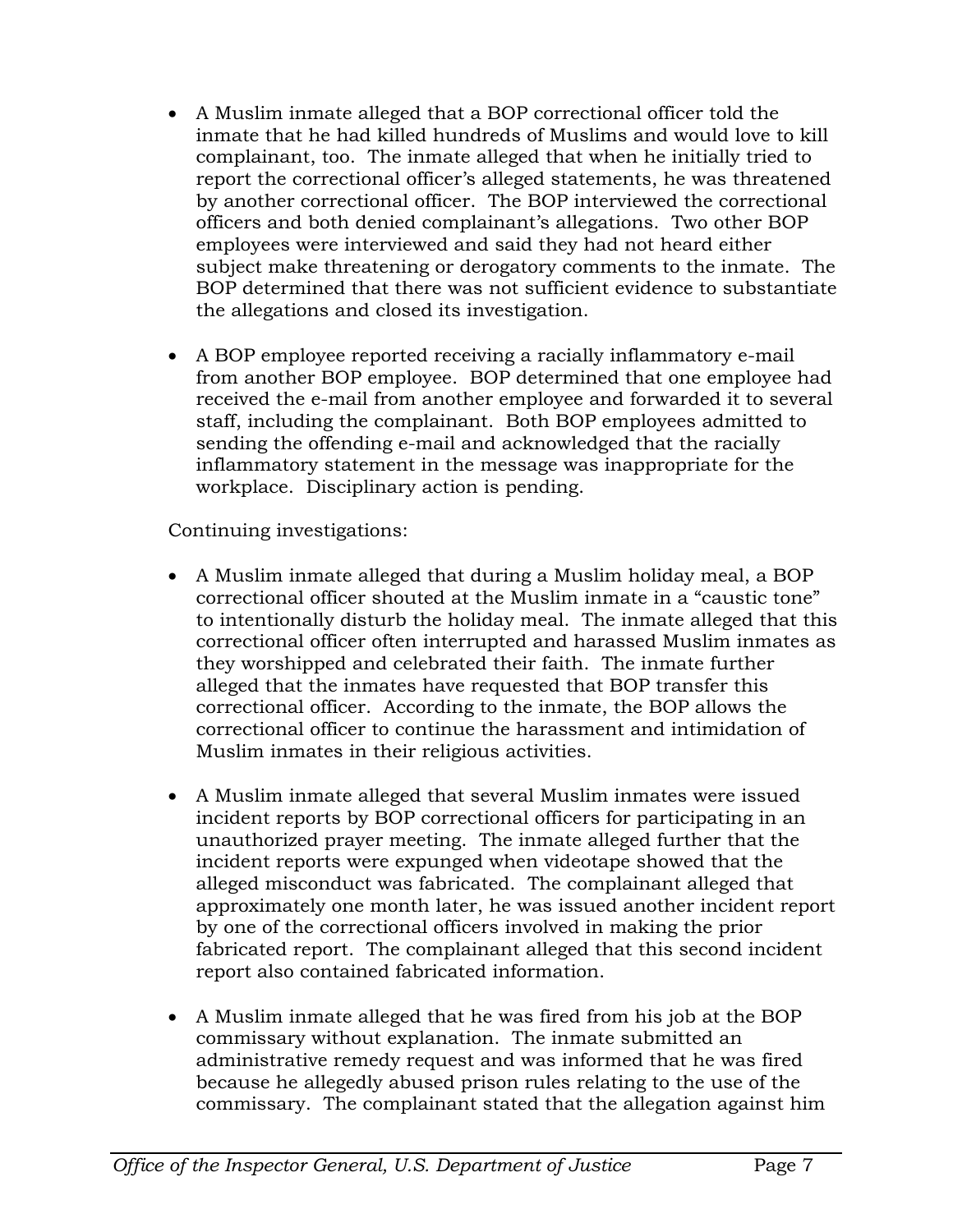- A Muslim inmate alleged that a BOP correctional officer told the inmate that he had killed hundreds of Muslims and would love to kill complainant, too. The inmate alleged that when he initially tried to report the correctional officer's alleged statements, he was threatened by another correctional officer. The BOP interviewed the correctional officers and both denied complainant's allegations. Two other BOP employees were interviewed and said they had not heard either subject make threatening or derogatory comments to the inmate. The BOP determined that there was not sufficient evidence to substantiate the allegations and closed its investigation.
- A BOP employee reported receiving a racially inflammatory e-mail from another BOP employee. BOP determined that one employee had received the e-mail from another employee and forwarded it to several staff, including the complainant. Both BOP employees admitted to sending the offending e-mail and acknowledged that the racially inflammatory statement in the message was inappropriate for the workplace. Disciplinary action is pending.

Continuing investigations:

- A Muslim inmate alleged that during a Muslim holiday meal, a BOP correctional officer shouted at the Muslim inmate in a "caustic tone" to intentionally disturb the holiday meal. The inmate alleged that this correctional officer often interrupted and harassed Muslim inmates as they worshipped and celebrated their faith. The inmate further alleged that the inmates have requested that BOP transfer this correctional officer. According to the inmate, the BOP allows the correctional officer to continue the harassment and intimidation of Muslim inmates in their religious activities.
- A Muslim inmate alleged that several Muslim inmates were issued incident reports by BOP correctional officers for participating in an unauthorized prayer meeting. The inmate alleged further that the incident reports were expunged when videotape showed that the alleged misconduct was fabricated. The complainant alleged that approximately one month later, he was issued another incident report by one of the correctional officers involved in making the prior fabricated report. The complainant alleged that this second incident report also contained fabricated information.
- A Muslim inmate alleged that he was fired from his job at the BOP commissary without explanation. The inmate submitted an administrative remedy request and was informed that he was fired because he allegedly abused prison rules relating to the use of the commissary. The complainant stated that the allegation against him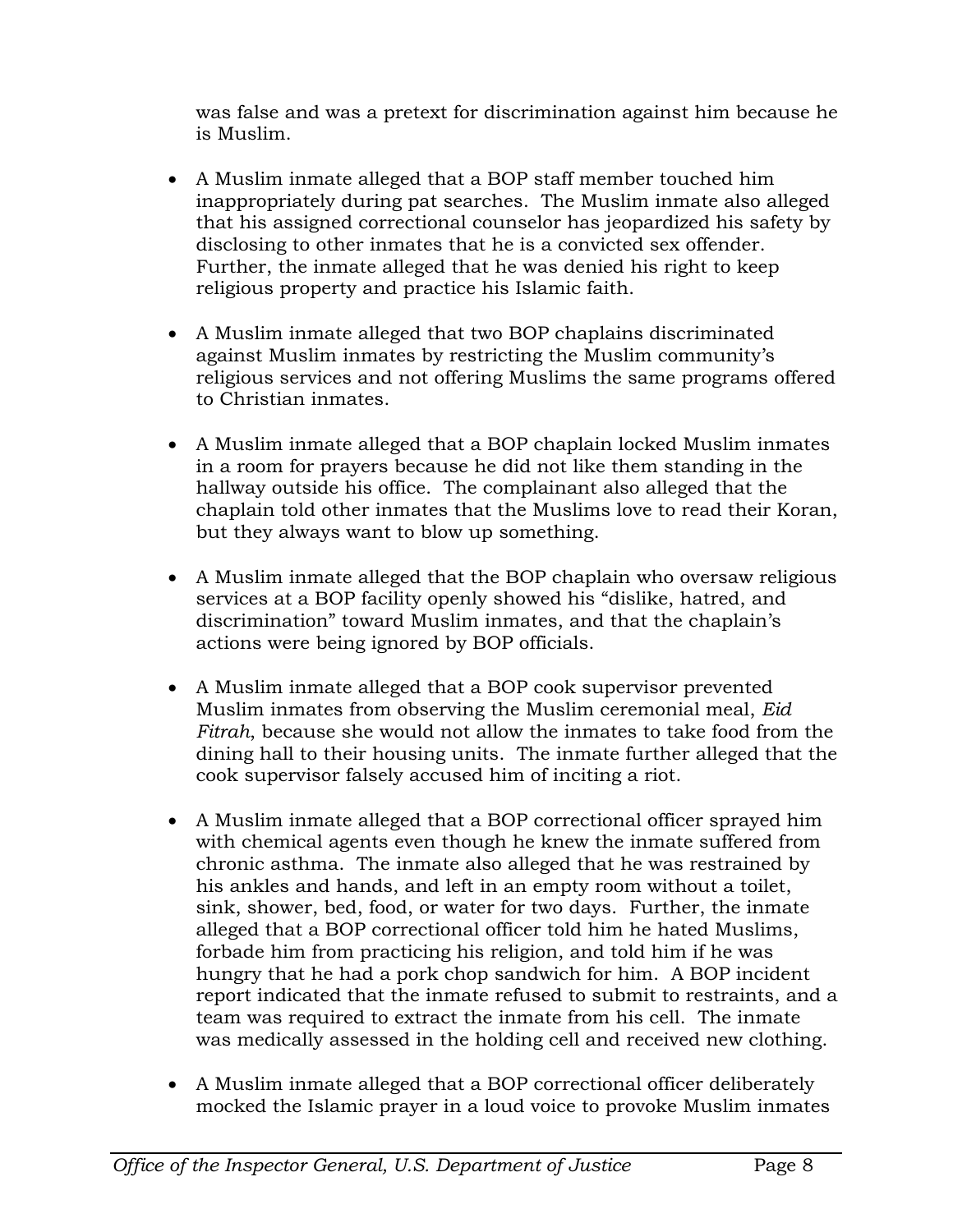was false and was a pretext for discrimination against him because he is Muslim.

- A Muslim inmate alleged that a BOP staff member touched him inappropriately during pat searches. The Muslim inmate also alleged that his assigned correctional counselor has jeopardized his safety by disclosing to other inmates that he is a convicted sex offender. Further, the inmate alleged that he was denied his right to keep religious property and practice his Islamic faith.
- A Muslim inmate alleged that two BOP chaplains discriminated against Muslim inmates by restricting the Muslim community's religious services and not offering Muslims the same programs offered to Christian inmates.
- A Muslim inmate alleged that a BOP chaplain locked Muslim inmates in a room for prayers because he did not like them standing in the hallway outside his office. The complainant also alleged that the chaplain told other inmates that the Muslims love to read their Koran, but they always want to blow up something.
- A Muslim inmate alleged that the BOP chaplain who oversaw religious services at a BOP facility openly showed his "dislike, hatred, and discrimination" toward Muslim inmates, and that the chaplain's actions were being ignored by BOP officials.
- A Muslim inmate alleged that a BOP cook supervisor prevented Muslim inmates from observing the Muslim ceremonial meal, *Eid Fitrah*, because she would not allow the inmates to take food from the dining hall to their housing units. The inmate further alleged that the cook supervisor falsely accused him of inciting a riot.
- A Muslim inmate alleged that a BOP correctional officer sprayed him with chemical agents even though he knew the inmate suffered from chronic asthma. The inmate also alleged that he was restrained by his ankles and hands, and left in an empty room without a toilet, sink, shower, bed, food, or water for two days. Further, the inmate alleged that a BOP correctional officer told him he hated Muslims, forbade him from practicing his religion, and told him if he was hungry that he had a pork chop sandwich for him. A BOP incident report indicated that the inmate refused to submit to restraints, and a team was required to extract the inmate from his cell. The inmate was medically assessed in the holding cell and received new clothing.
- A Muslim inmate alleged that a BOP correctional officer deliberately mocked the Islamic prayer in a loud voice to provoke Muslim inmates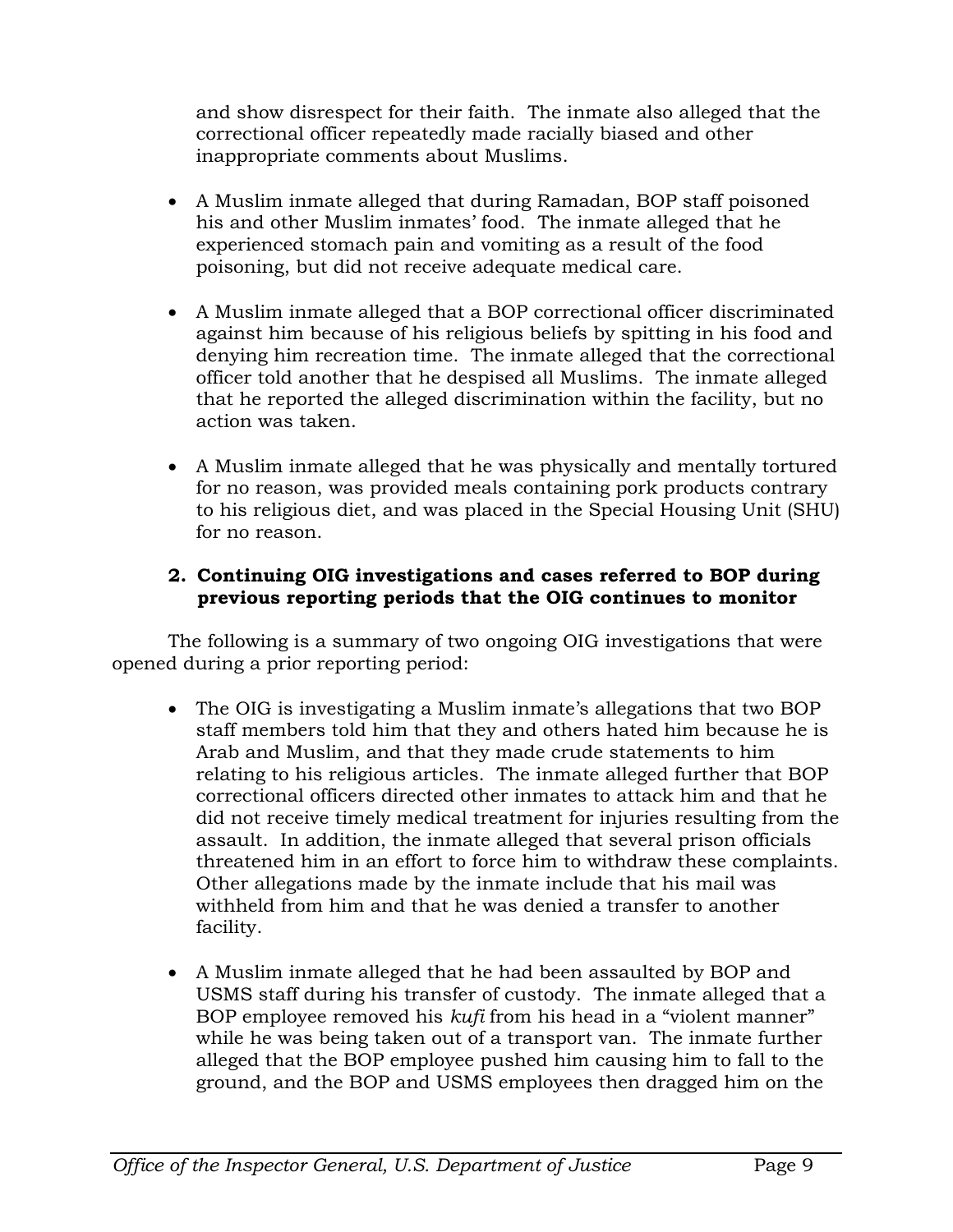and show disrespect for their faith. The inmate also alleged that the correctional officer repeatedly made racially biased and other inappropriate comments about Muslims.

- A Muslim inmate alleged that during Ramadan, BOP staff poisoned his and other Muslim inmates' food. The inmate alleged that he experienced stomach pain and vomiting as a result of the food poisoning, but did not receive adequate medical care.
- A Muslim inmate alleged that a BOP correctional officer discriminated against him because of his religious beliefs by spitting in his food and denying him recreation time. The inmate alleged that the correctional officer told another that he despised all Muslims. The inmate alleged that he reported the alleged discrimination within the facility, but no action was taken.
- A Muslim inmate alleged that he was physically and mentally tortured for no reason, was provided meals containing pork products contrary to his religious diet, and was placed in the Special Housing Unit (SHU) for no reason.

## **2. Continuing OIG investigations and cases referred to BOP during previous reporting periods that the OIG continues to monitor**

The following is a summary of two ongoing OIG investigations that were opened during a prior reporting period:

- The OIG is investigating a Muslim inmate's allegations that two BOP staff members told him that they and others hated him because he is Arab and Muslim, and that they made crude statements to him relating to his religious articles. The inmate alleged further that BOP correctional officers directed other inmates to attack him and that he did not receive timely medical treatment for injuries resulting from the assault. In addition, the inmate alleged that several prison officials threatened him in an effort to force him to withdraw these complaints. Other allegations made by the inmate include that his mail was withheld from him and that he was denied a transfer to another facility.
- A Muslim inmate alleged that he had been assaulted by BOP and USMS staff during his transfer of custody. The inmate alleged that a BOP employee removed his *kufi* from his head in a "violent manner" while he was being taken out of a transport van. The inmate further alleged that the BOP employee pushed him causing him to fall to the ground, and the BOP and USMS employees then dragged him on the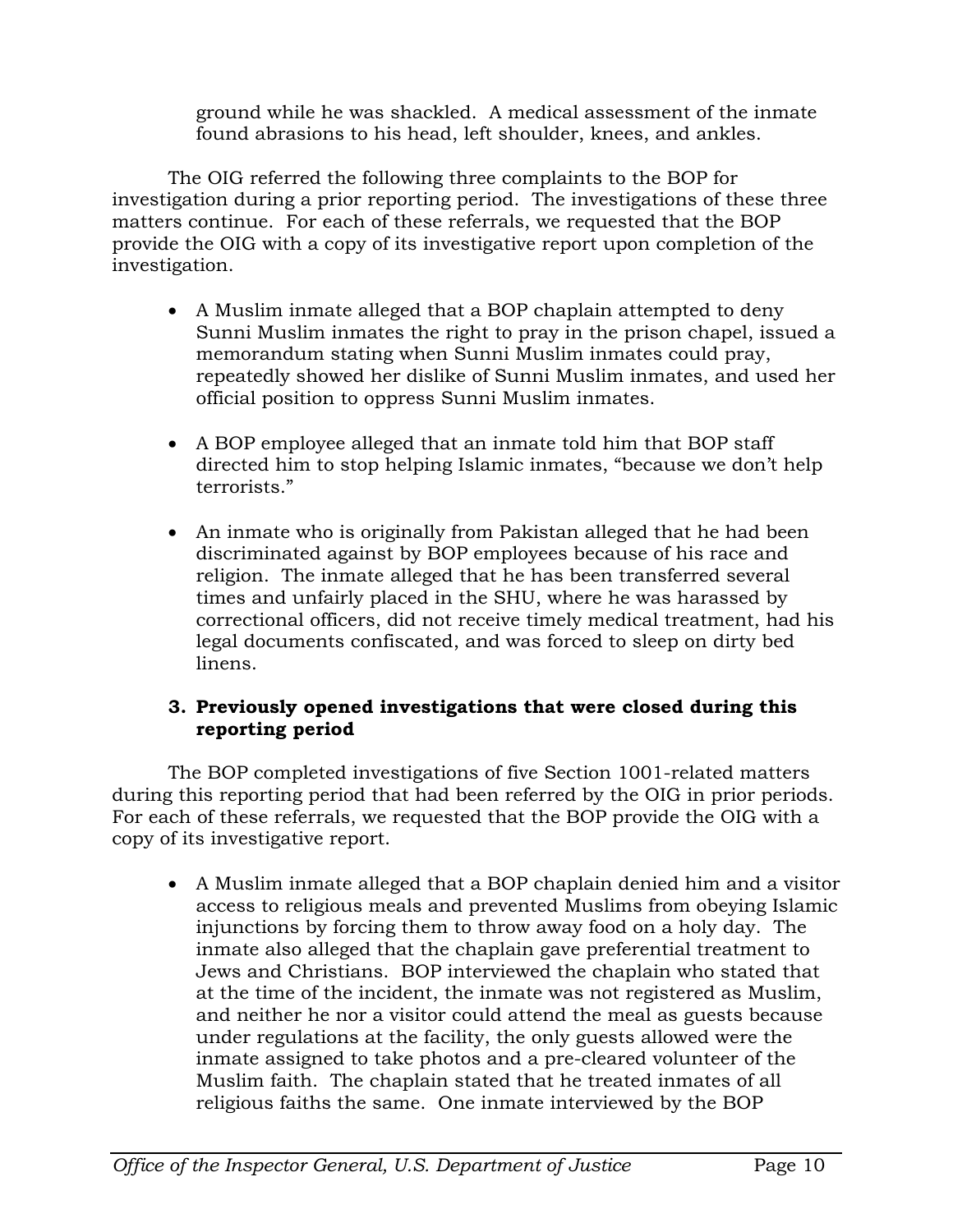ground while he was shackled. A medical assessment of the inmate found abrasions to his head, left shoulder, knees, and ankles.

The OIG referred the following three complaints to the BOP for investigation during a prior reporting period. The investigations of these three matters continue. For each of these referrals, we requested that the BOP provide the OIG with a copy of its investigative report upon completion of the investigation.

- A Muslim inmate alleged that a BOP chaplain attempted to deny Sunni Muslim inmates the right to pray in the prison chapel, issued a memorandum stating when Sunni Muslim inmates could pray, repeatedly showed her dislike of Sunni Muslim inmates, and used her official position to oppress Sunni Muslim inmates.
- A BOP employee alleged that an inmate told him that BOP staff directed him to stop helping Islamic inmates, "because we don't help terrorists."
- An inmate who is originally from Pakistan alleged that he had been discriminated against by BOP employees because of his race and religion. The inmate alleged that he has been transferred several times and unfairly placed in the SHU, where he was harassed by correctional officers, did not receive timely medical treatment, had his legal documents confiscated, and was forced to sleep on dirty bed linens.

#### **3. Previously opened investigations that were closed during this reporting period**

The BOP completed investigations of five Section 1001-related matters during this reporting period that had been referred by the OIG in prior periods. For each of these referrals, we requested that the BOP provide the OIG with a copy of its investigative report.

• A Muslim inmate alleged that a BOP chaplain denied him and a visitor access to religious meals and prevented Muslims from obeying Islamic injunctions by forcing them to throw away food on a holy day. The inmate also alleged that the chaplain gave preferential treatment to Jews and Christians. BOP interviewed the chaplain who stated that at the time of the incident, the inmate was not registered as Muslim, and neither he nor a visitor could attend the meal as guests because under regulations at the facility, the only guests allowed were the inmate assigned to take photos and a pre-cleared volunteer of the Muslim faith. The chaplain stated that he treated inmates of all religious faiths the same. One inmate interviewed by the BOP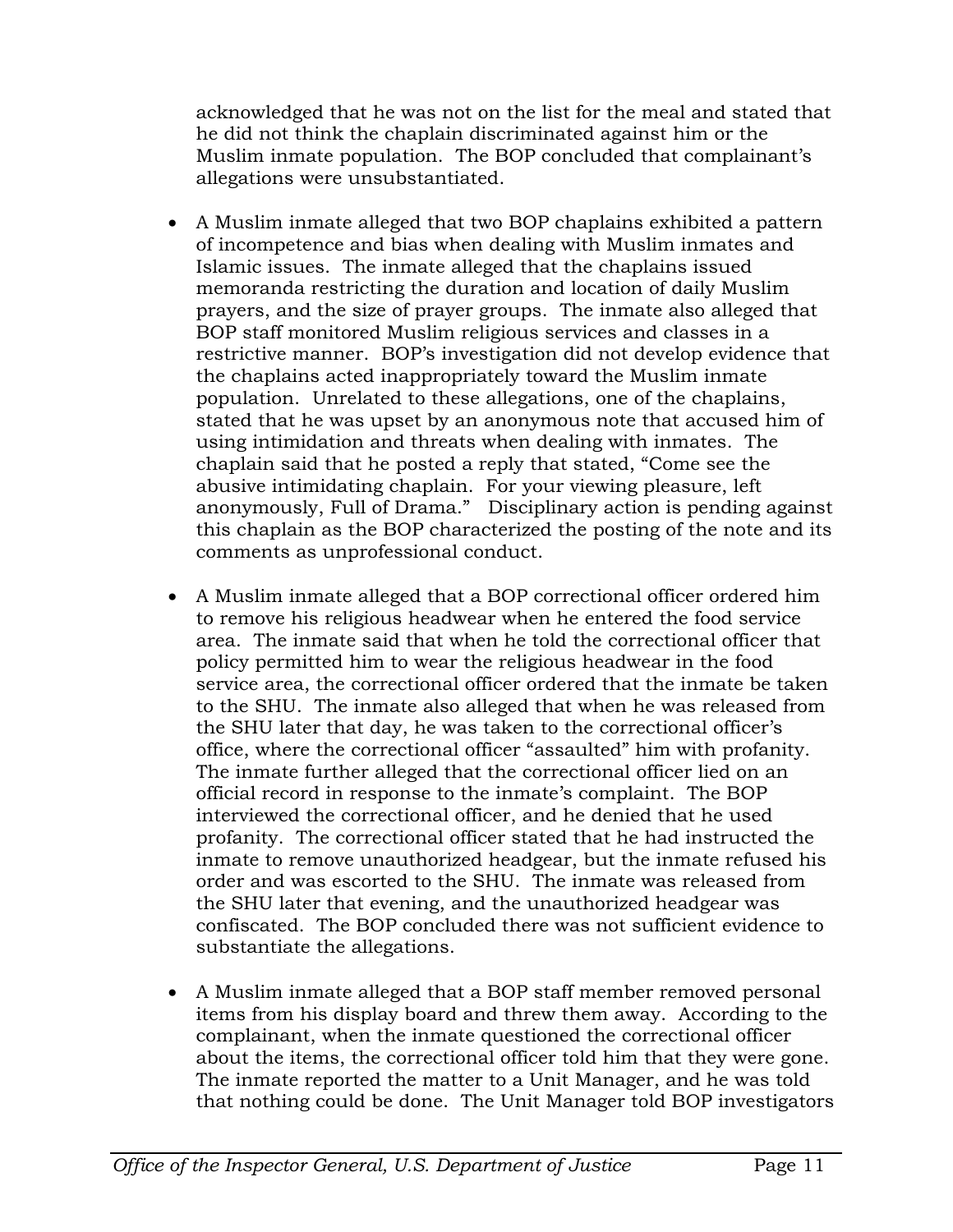acknowledged that he was not on the list for the meal and stated that he did not think the chaplain discriminated against him or the Muslim inmate population. The BOP concluded that complainant's allegations were unsubstantiated.

- A Muslim inmate alleged that two BOP chaplains exhibited a pattern of incompetence and bias when dealing with Muslim inmates and Islamic issues. The inmate alleged that the chaplains issued memoranda restricting the duration and location of daily Muslim prayers, and the size of prayer groups. The inmate also alleged that BOP staff monitored Muslim religious services and classes in a restrictive manner. BOP's investigation did not develop evidence that the chaplains acted inappropriately toward the Muslim inmate population. Unrelated to these allegations, one of the chaplains, stated that he was upset by an anonymous note that accused him of using intimidation and threats when dealing with inmates. The chaplain said that he posted a reply that stated, "Come see the abusive intimidating chaplain. For your viewing pleasure, left anonymously, Full of Drama." Disciplinary action is pending against this chaplain as the BOP characterized the posting of the note and its comments as unprofessional conduct.
- A Muslim inmate alleged that a BOP correctional officer ordered him to remove his religious headwear when he entered the food service area. The inmate said that when he told the correctional officer that policy permitted him to wear the religious headwear in the food service area, the correctional officer ordered that the inmate be taken to the SHU. The inmate also alleged that when he was released from the SHU later that day, he was taken to the correctional officer's office, where the correctional officer "assaulted" him with profanity. The inmate further alleged that the correctional officer lied on an official record in response to the inmate's complaint. The BOP interviewed the correctional officer, and he denied that he used profanity. The correctional officer stated that he had instructed the inmate to remove unauthorized headgear, but the inmate refused his order and was escorted to the SHU. The inmate was released from the SHU later that evening, and the unauthorized headgear was confiscated. The BOP concluded there was not sufficient evidence to substantiate the allegations.
- A Muslim inmate alleged that a BOP staff member removed personal items from his display board and threw them away. According to the complainant, when the inmate questioned the correctional officer about the items, the correctional officer told him that they were gone. The inmate reported the matter to a Unit Manager, and he was told that nothing could be done. The Unit Manager told BOP investigators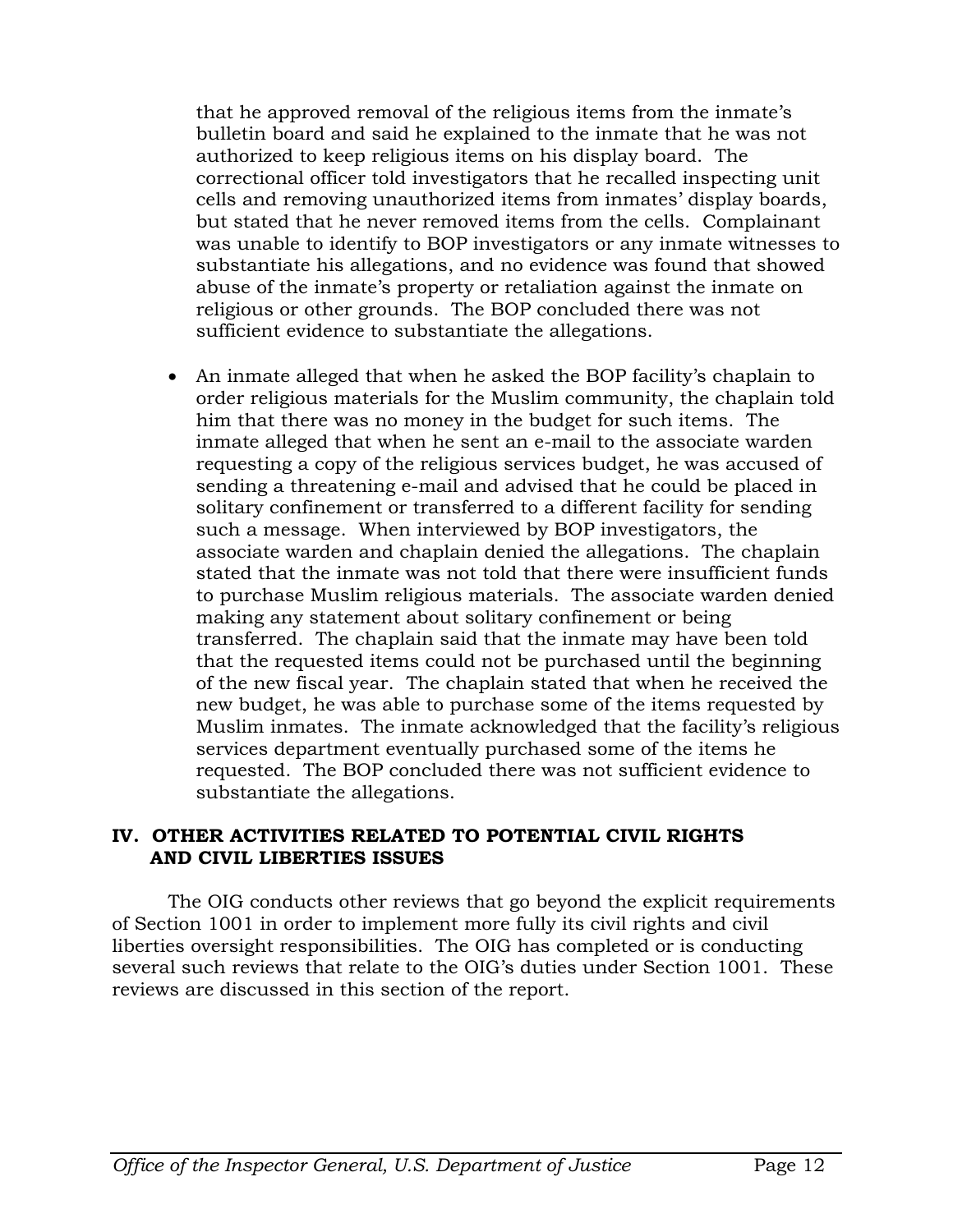that he approved removal of the religious items from the inmate's bulletin board and said he explained to the inmate that he was not authorized to keep religious items on his display board. The correctional officer told investigators that he recalled inspecting unit cells and removing unauthorized items from inmates' display boards, but stated that he never removed items from the cells. Complainant was unable to identify to BOP investigators or any inmate witnesses to substantiate his allegations, and no evidence was found that showed abuse of the inmate's property or retaliation against the inmate on religious or other grounds. The BOP concluded there was not sufficient evidence to substantiate the allegations.

• An inmate alleged that when he asked the BOP facility's chaplain to order religious materials for the Muslim community, the chaplain told him that there was no money in the budget for such items. The inmate alleged that when he sent an e-mail to the associate warden requesting a copy of the religious services budget, he was accused of sending a threatening e-mail and advised that he could be placed in solitary confinement or transferred to a different facility for sending such a message. When interviewed by BOP investigators, the associate warden and chaplain denied the allegations. The chaplain stated that the inmate was not told that there were insufficient funds to purchase Muslim religious materials. The associate warden denied making any statement about solitary confinement or being transferred. The chaplain said that the inmate may have been told that the requested items could not be purchased until the beginning of the new fiscal year. The chaplain stated that when he received the new budget, he was able to purchase some of the items requested by Muslim inmates. The inmate acknowledged that the facility's religious services department eventually purchased some of the items he requested. The BOP concluded there was not sufficient evidence to substantiate the allegations.

#### **IV. OTHER ACTIVITIES RELATED TO POTENTIAL CIVIL RIGHTS AND CIVIL LIBERTIES ISSUES**

The OIG conducts other reviews that go beyond the explicit requirements of Section 1001 in order to implement more fully its civil rights and civil liberties oversight responsibilities. The OIG has completed or is conducting several such reviews that relate to the OIG's duties under Section 1001. These reviews are discussed in this section of the report.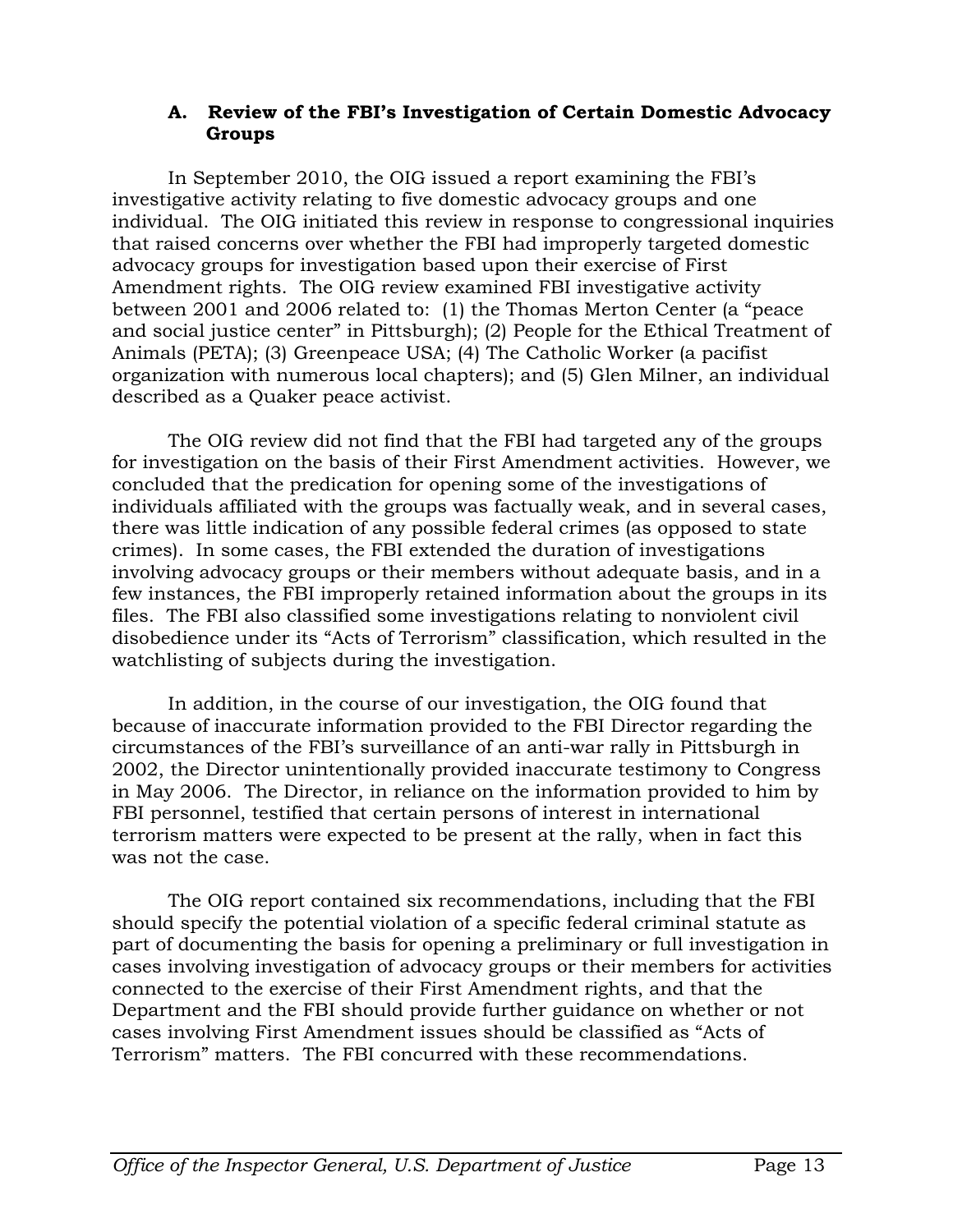#### **A. Review of the FBI's Investigation of Certain Domestic Advocacy Groups**

In September 2010, the OIG issued a report examining the FBI's investigative activity relating to five domestic advocacy groups and one individual. The OIG initiated this review in response to congressional inquiries that raised concerns over whether the FBI had improperly targeted domestic advocacy groups for investigation based upon their exercise of First Amendment rights. The OIG review examined FBI investigative activity between 2001 and 2006 related to: (1) the Thomas Merton Center (a "peace and social justice center" in Pittsburgh); (2) People for the Ethical Treatment of Animals (PETA); (3) Greenpeace USA; (4) The Catholic Worker (a pacifist organization with numerous local chapters); and (5) Glen Milner, an individual described as a Quaker peace activist.

The OIG review did not find that the FBI had targeted any of the groups for investigation on the basis of their First Amendment activities. However, we concluded that the predication for opening some of the investigations of individuals affiliated with the groups was factually weak, and in several cases, there was little indication of any possible federal crimes (as opposed to state crimes). In some cases, the FBI extended the duration of investigations involving advocacy groups or their members without adequate basis, and in a few instances, the FBI improperly retained information about the groups in its files. The FBI also classified some investigations relating to nonviolent civil disobedience under its "Acts of Terrorism" classification, which resulted in the watchlisting of subjects during the investigation.

In addition, in the course of our investigation, the OIG found that because of inaccurate information provided to the FBI Director regarding the circumstances of the FBI's surveillance of an anti-war rally in Pittsburgh in 2002, the Director unintentionally provided inaccurate testimony to Congress in May 2006. The Director, in reliance on the information provided to him by FBI personnel, testified that certain persons of interest in international terrorism matters were expected to be present at the rally, when in fact this was not the case.

The OIG report contained six recommendations, including that the FBI should specify the potential violation of a specific federal criminal statute as part of documenting the basis for opening a preliminary or full investigation in cases involving investigation of advocacy groups or their members for activities connected to the exercise of their First Amendment rights, and that the Department and the FBI should provide further guidance on whether or not cases involving First Amendment issues should be classified as "Acts of Terrorism" matters. The FBI concurred with these recommendations.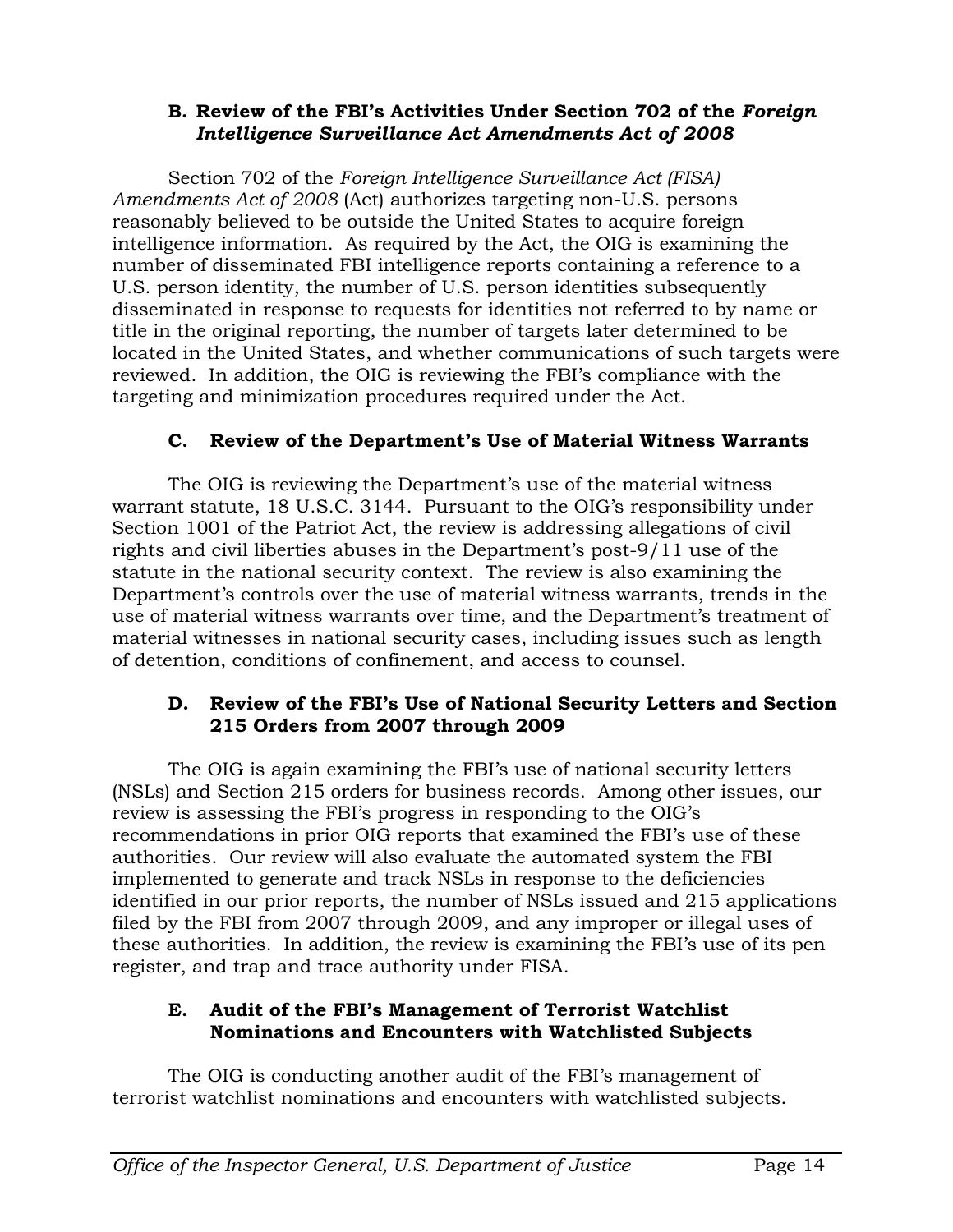#### **B. Review of the FBI's Activities Under Section 702 of the** *Foreign Intelligence Surveillance Act Amendments Act of 2008*

Section 702 of the *Foreign Intelligence Surveillance Act (FISA) Amendments Act of 2008* (Act) authorizes targeting non-U.S. persons reasonably believed to be outside the United States to acquire foreign intelligence information. As required by the Act, the OIG is examining the number of disseminated FBI intelligence reports containing a reference to a U.S. person identity, the number of U.S. person identities subsequently disseminated in response to requests for identities not referred to by name or title in the original reporting, the number of targets later determined to be located in the United States, and whether communications of such targets were reviewed. In addition, the OIG is reviewing the FBI's compliance with the targeting and minimization procedures required under the Act.

# **C. Review of the Department's Use of Material Witness Warrants**

The OIG is reviewing the Department's use of the material witness warrant statute, 18 U.S.C. 3144. Pursuant to the OIG's responsibility under Section 1001 of the Patriot Act, the review is addressing allegations of civil rights and civil liberties abuses in the Department's post-9/11 use of the statute in the national security context. The review is also examining the Department's controls over the use of material witness warrants, trends in the use of material witness warrants over time, and the Department's treatment of material witnesses in national security cases, including issues such as length of detention, conditions of confinement, and access to counsel.

#### **D. Review of the FBI's Use of National Security Letters and Section 215 Orders from 2007 through 2009**

The OIG is again examining the FBI's use of national security letters (NSLs) and Section 215 orders for business records. Among other issues, our review is assessing the FBI's progress in responding to the OIG's recommendations in prior OIG reports that examined the FBI's use of these authorities. Our review will also evaluate the automated system the FBI implemented to generate and track NSLs in response to the deficiencies identified in our prior reports, the number of NSLs issued and 215 applications filed by the FBI from 2007 through 2009, and any improper or illegal uses of these authorities. In addition, the review is examining the FBI's use of its pen register, and trap and trace authority under FISA.

#### **E. Audit of the FBI's Management of Terrorist Watchlist Nominations and Encounters with Watchlisted Subjects**

The OIG is conducting another audit of the FBI's management of terrorist watchlist nominations and encounters with watchlisted subjects.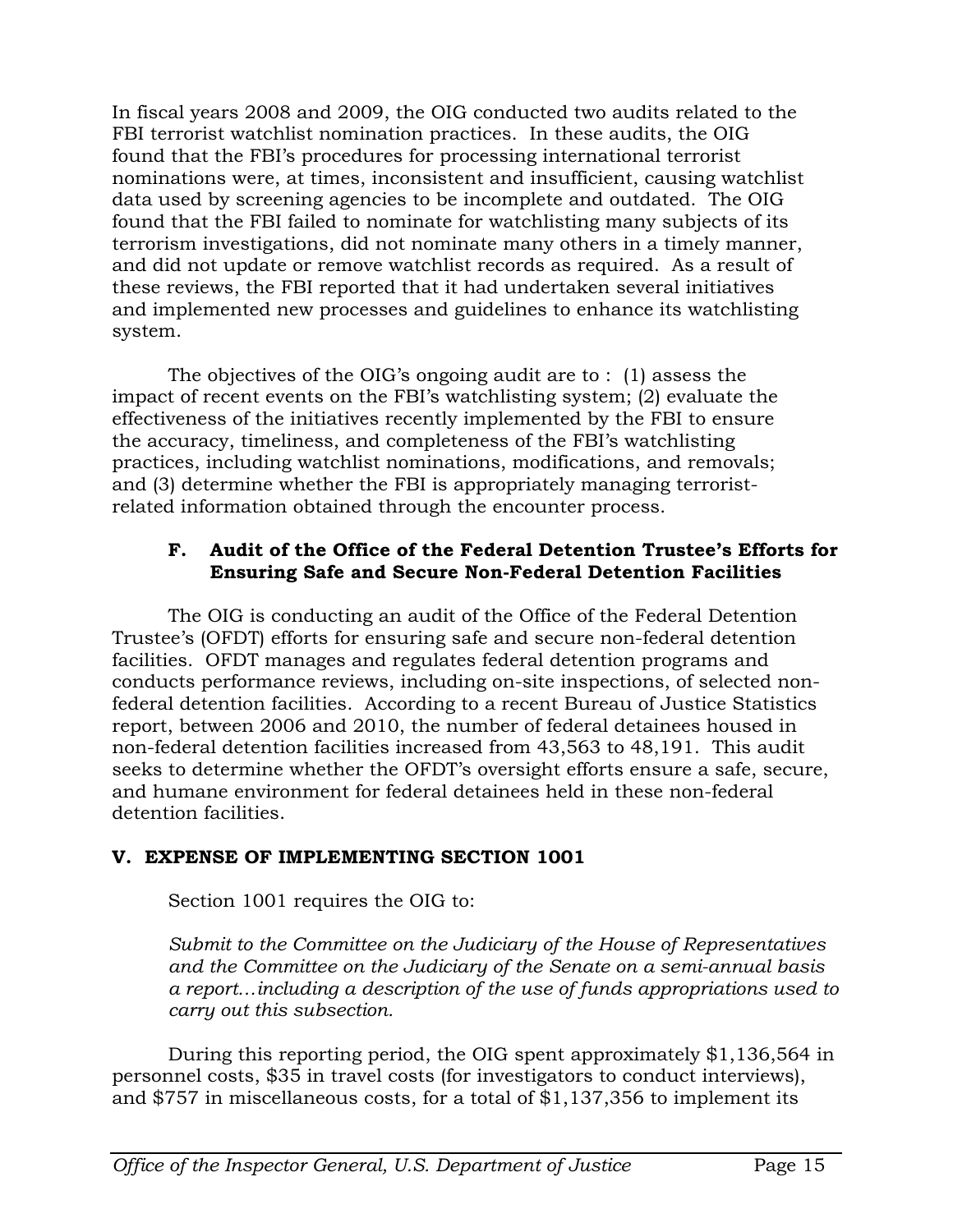In fiscal years 2008 and 2009, the OIG conducted two audits related to the FBI terrorist watchlist nomination practices. In these audits, the OIG found that the FBI's procedures for processing international terrorist nominations were, at times, inconsistent and insufficient, causing watchlist data used by screening agencies to be incomplete and outdated. The OIG found that the FBI failed to nominate for watchlisting many subjects of its terrorism investigations, did not nominate many others in a timely manner, and did not update or remove watchlist records as required. As a result of these reviews, the FBI reported that it had undertaken several initiatives and implemented new processes and guidelines to enhance its watchlisting system.

The objectives of the OIG's ongoing audit are to : (1) assess the impact of recent events on the FBI's watchlisting system; (2) evaluate the effectiveness of the initiatives recently implemented by the FBI to ensure the accuracy, timeliness, and completeness of the FBI's watchlisting practices, including watchlist nominations, modifications, and removals; and (3) determine whether the FBI is appropriately managing terroristrelated information obtained through the encounter process.

#### **F. Audit of the Office of the Federal Detention Trustee's Efforts for Ensuring Safe and Secure Non-Federal Detention Facilities**

The OIG is conducting an audit of the Office of the Federal Detention Trustee's (OFDT) efforts for ensuring safe and secure non-federal detention facilities. OFDT manages and regulates federal detention programs and conducts performance reviews, including on-site inspections, of selected nonfederal detention facilities. According to a recent Bureau of Justice Statistics report, between 2006 and 2010, the number of federal detainees housed in non-federal detention facilities increased from 43,563 to 48,191. This audit seeks to determine whether the OFDT's oversight efforts ensure a safe, secure, and humane environment for federal detainees held in these non-federal detention facilities.

# **V. EXPENSE OF IMPLEMENTING SECTION 1001**

Section 1001 requires the OIG to:

*Submit to the Committee on the Judiciary of the House of Representatives and the Committee on the Judiciary of the Senate on a semi-annual basis a report…including a description of the use of funds appropriations used to carry out this subsection.*

During this reporting period, the OIG spent approximately \$1,136,564 in personnel costs, \$35 in travel costs (for investigators to conduct interviews), and \$757 in miscellaneous costs, for a total of \$1,137,356 to implement its